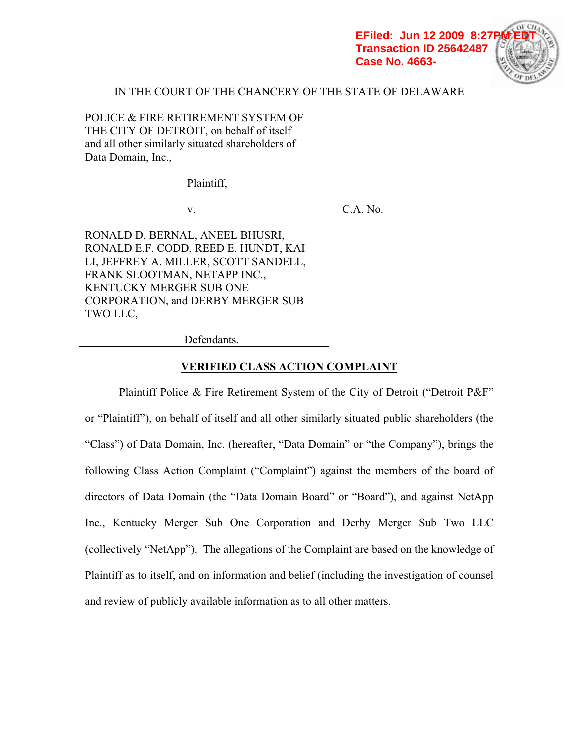**EFiled: Jun 12 2009 8:27I Transaction ID 25642487 Case No. 4663-**

# IN THE COURT OF THE CHANCERY OF THE STATE OF DELAWARE

POLICE & FIRE RETIREMENT SYSTEM OF THE CITY OF DETROIT, on behalf of itself and all other similarly situated shareholders of Data Domain, Inc.,

v.

Plaintiff,

C.A. No.

RONALD D. BERNAL, ANEEL BHUSRI, RONALD E.F. CODD, REED E. HUNDT, KAI LI, JEFFREY A. MILLER, SCOTT SANDELL, FRANK SLOOTMAN, NETAPP INC., KENTUCKY MERGER SUB ONE CORPORATION, and DERBY MERGER SUB TWO LLC,

Defendants.

# **VERIFIED CLASS ACTION COMPLAINT**

Plaintiff Police & Fire Retirement System of the City of Detroit ("Detroit P&F" or "Plaintiff"), on behalf of itself and all other similarly situated public shareholders (the "Class") of Data Domain, Inc. (hereafter, "Data Domain" or "the Company"), brings the following Class Action Complaint ("Complaint") against the members of the board of directors of Data Domain (the "Data Domain Board" or "Board"), and against NetApp Inc., Kentucky Merger Sub One Corporation and Derby Merger Sub Two LLC (collectively "NetApp"). The allegations of the Complaint are based on the knowledge of Plaintiff as to itself, and on information and belief (including the investigation of counsel and review of publicly available information as to all other matters.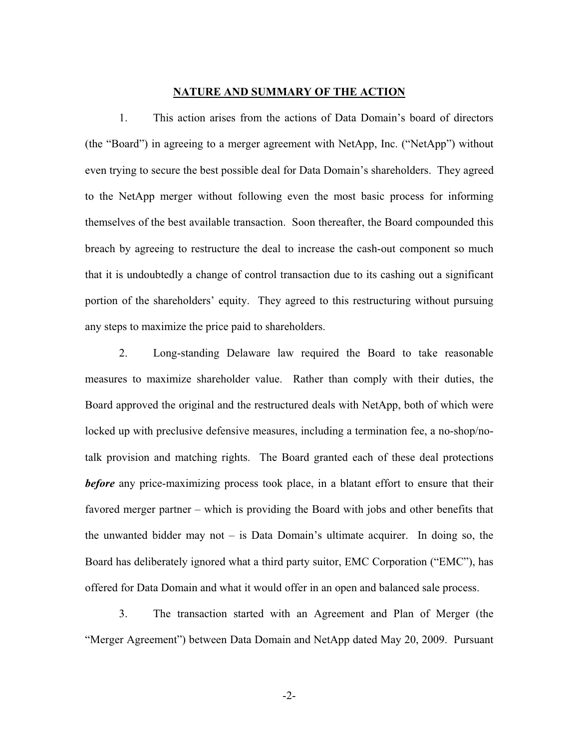#### **NATURE AND SUMMARY OF THE ACTION**

1. This action arises from the actions of Data Domain's board of directors (the "Board") in agreeing to a merger agreement with NetApp, Inc. ("NetApp") without even trying to secure the best possible deal for Data Domain's shareholders. They agreed to the NetApp merger without following even the most basic process for informing themselves of the best available transaction. Soon thereafter, the Board compounded this breach by agreeing to restructure the deal to increase the cash-out component so much that it is undoubtedly a change of control transaction due to its cashing out a significant portion of the shareholders' equity. They agreed to this restructuring without pursuing any steps to maximize the price paid to shareholders.

2. Long-standing Delaware law required the Board to take reasonable measures to maximize shareholder value. Rather than comply with their duties, the Board approved the original and the restructured deals with NetApp, both of which were locked up with preclusive defensive measures, including a termination fee, a no-shop/notalk provision and matching rights. The Board granted each of these deal protections *before* any price-maximizing process took place, in a blatant effort to ensure that their favored merger partner – which is providing the Board with jobs and other benefits that the unwanted bidder may not – is Data Domain's ultimate acquirer. In doing so, the Board has deliberately ignored what a third party suitor, EMC Corporation ("EMC"), has offered for Data Domain and what it would offer in an open and balanced sale process.

3. The transaction started with an Agreement and Plan of Merger (the "Merger Agreement") between Data Domain and NetApp dated May 20, 2009. Pursuant

-2-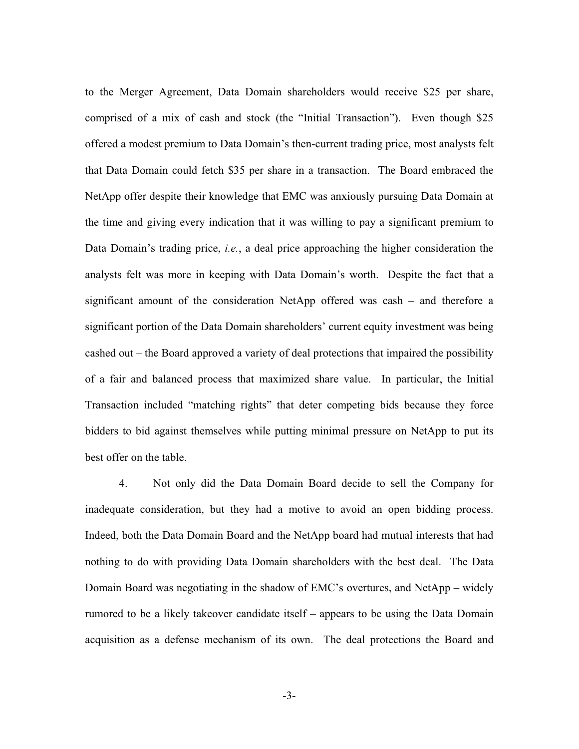to the Merger Agreement, Data Domain shareholders would receive \$25 per share, comprised of a mix of cash and stock (the "Initial Transaction"). Even though \$25 offered a modest premium to Data Domain's then-current trading price, most analysts felt that Data Domain could fetch \$35 per share in a transaction. The Board embraced the NetApp offer despite their knowledge that EMC was anxiously pursuing Data Domain at the time and giving every indication that it was willing to pay a significant premium to Data Domain's trading price, *i.e.*, a deal price approaching the higher consideration the analysts felt was more in keeping with Data Domain's worth. Despite the fact that a significant amount of the consideration NetApp offered was cash – and therefore a significant portion of the Data Domain shareholders' current equity investment was being cashed out – the Board approved a variety of deal protections that impaired the possibility of a fair and balanced process that maximized share value. In particular, the Initial Transaction included "matching rights" that deter competing bids because they force bidders to bid against themselves while putting minimal pressure on NetApp to put its best offer on the table.

4. Not only did the Data Domain Board decide to sell the Company for inadequate consideration, but they had a motive to avoid an open bidding process. Indeed, both the Data Domain Board and the NetApp board had mutual interests that had nothing to do with providing Data Domain shareholders with the best deal. The Data Domain Board was negotiating in the shadow of EMC's overtures, and NetApp – widely rumored to be a likely takeover candidate itself – appears to be using the Data Domain acquisition as a defense mechanism of its own. The deal protections the Board and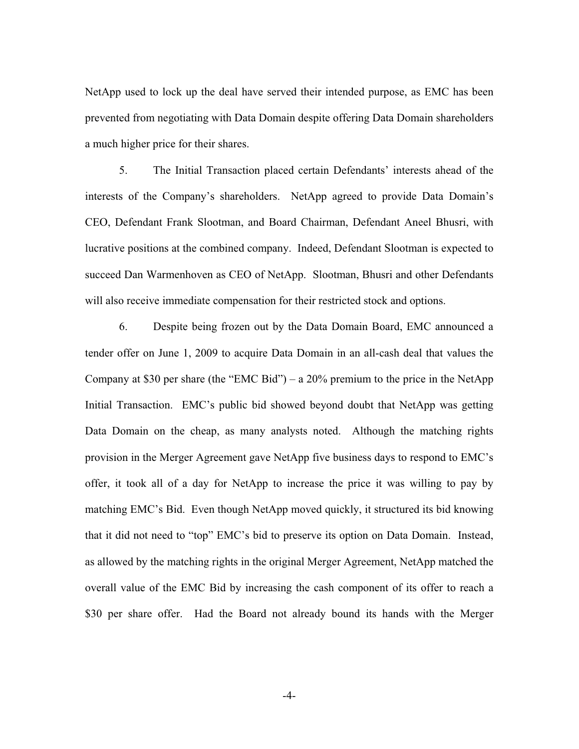NetApp used to lock up the deal have served their intended purpose, as EMC has been prevented from negotiating with Data Domain despite offering Data Domain shareholders a much higher price for their shares.

5. The Initial Transaction placed certain Defendants' interests ahead of the interests of the Company's shareholders. NetApp agreed to provide Data Domain's CEO, Defendant Frank Slootman, and Board Chairman, Defendant Aneel Bhusri, with lucrative positions at the combined company. Indeed, Defendant Slootman is expected to succeed Dan Warmenhoven as CEO of NetApp. Slootman, Bhusri and other Defendants will also receive immediate compensation for their restricted stock and options.

6. Despite being frozen out by the Data Domain Board, EMC announced a tender offer on June 1, 2009 to acquire Data Domain in an all-cash deal that values the Company at \$30 per share (the "EMC Bid") – a  $20\%$  premium to the price in the NetApp Initial Transaction. EMC's public bid showed beyond doubt that NetApp was getting Data Domain on the cheap, as many analysts noted. Although the matching rights provision in the Merger Agreement gave NetApp five business days to respond to EMC's offer, it took all of a day for NetApp to increase the price it was willing to pay by matching EMC's Bid. Even though NetApp moved quickly, it structured its bid knowing that it did not need to "top" EMC's bid to preserve its option on Data Domain. Instead, as allowed by the matching rights in the original Merger Agreement, NetApp matched the overall value of the EMC Bid by increasing the cash component of its offer to reach a \$30 per share offer. Had the Board not already bound its hands with the Merger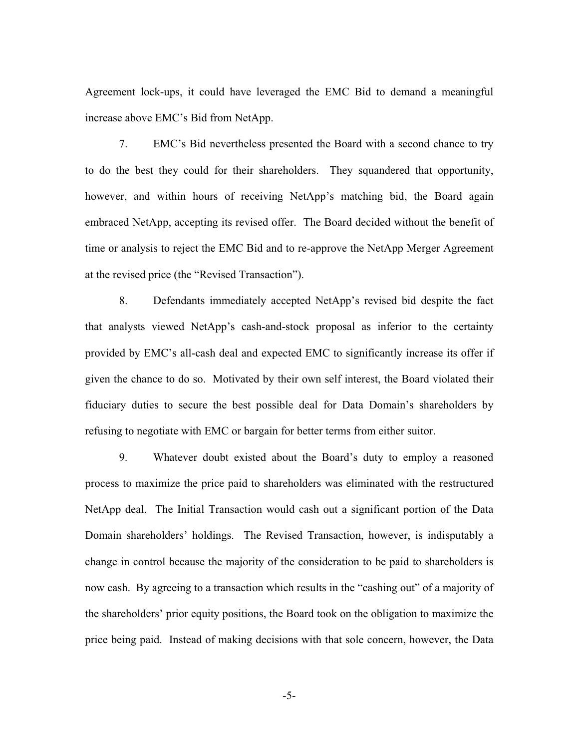Agreement lock-ups, it could have leveraged the EMC Bid to demand a meaningful increase above EMC's Bid from NetApp.

7. EMC's Bid nevertheless presented the Board with a second chance to try to do the best they could for their shareholders. They squandered that opportunity, however, and within hours of receiving NetApp's matching bid, the Board again embraced NetApp, accepting its revised offer. The Board decided without the benefit of time or analysis to reject the EMC Bid and to re-approve the NetApp Merger Agreement at the revised price (the "Revised Transaction").

8. Defendants immediately accepted NetApp's revised bid despite the fact that analysts viewed NetApp's cash-and-stock proposal as inferior to the certainty provided by EMC's all-cash deal and expected EMC to significantly increase its offer if given the chance to do so. Motivated by their own self interest, the Board violated their fiduciary duties to secure the best possible deal for Data Domain's shareholders by refusing to negotiate with EMC or bargain for better terms from either suitor.

9. Whatever doubt existed about the Board's duty to employ a reasoned process to maximize the price paid to shareholders was eliminated with the restructured NetApp deal. The Initial Transaction would cash out a significant portion of the Data Domain shareholders' holdings. The Revised Transaction, however, is indisputably a change in control because the majority of the consideration to be paid to shareholders is now cash. By agreeing to a transaction which results in the "cashing out" of a majority of the shareholders' prior equity positions, the Board took on the obligation to maximize the price being paid. Instead of making decisions with that sole concern, however, the Data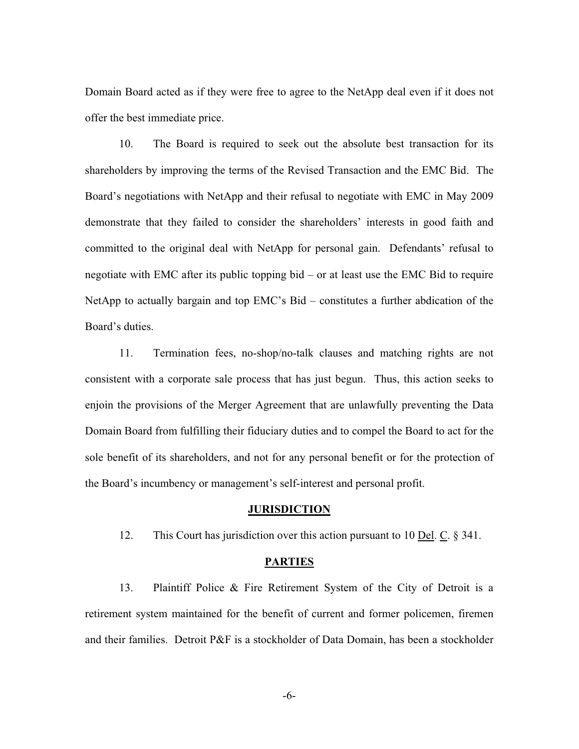Domain Board acted as if they were free to agree to the NetApp deal even if it does not offer the best immediate price.

10. The Board is required to seek out the absolute best transaction for its shareholders by improving the terms of the Revised Transaction and the EMC Bid. The Board's negotiations with NetApp and their refusal to negotiate with EMC in May 2009 demonstrate that they failed to consider the shareholders' interests in good faith and committed to the original deal with NetApp for personal gain. Defendants' refusal to negotiate with EMC after its public topping bid – or at least use the EMC Bid to require NetApp to actually bargain and top EMC's Bid – constitutes a further abdication of the Board's duties.

11. Termination fees, no-shop/no-talk clauses and matching rights are not consistent with a corporate sale process that has just begun. Thus, this action seeks to enjoin the provisions of the Merger Agreement that are unlawfully preventing the Data Domain Board from fulfilling their fiduciary duties and to compel the Board to act for the sole benefit of its shareholders, and not for any personal benefit or for the protection of the Board's incumbency or management's self-interest and personal profit.

## **JURISDICTION**

12. This Court has jurisdiction over this action pursuant to 10 Del. C. § 341.

# **PARTIES**

13. Plaintiff Police & Fire Retirement System of the City of Detroit is a retirement system maintained for the benefit of current and former policemen, firemen and their families. Detroit P&F is a stockholder of Data Domain, has been a stockholder

-6-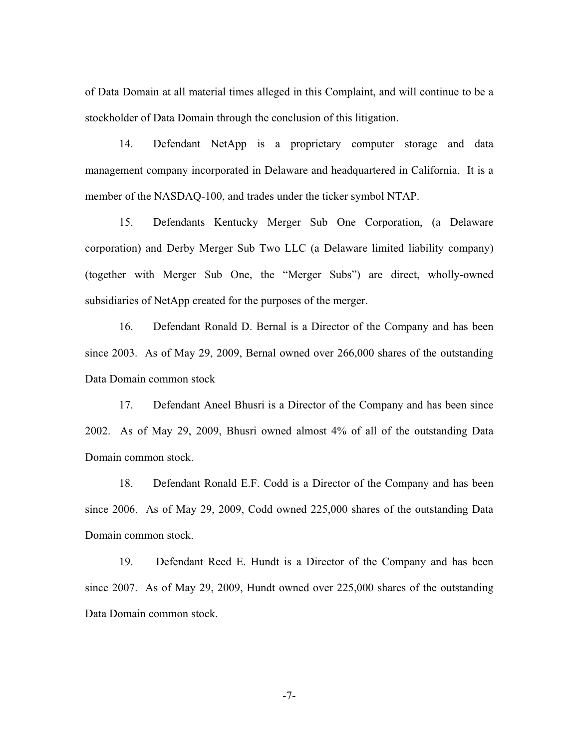of Data Domain at all material times alleged in this Complaint, and will continue to be a stockholder of Data Domain through the conclusion of this litigation.

14. Defendant NetApp is a proprietary computer storage and data management company incorporated in Delaware and headquartered in California. It is a member of the NASDAQ-100, and trades under the ticker symbol NTAP.

15. Defendants Kentucky Merger Sub One Corporation, (a Delaware corporation) and Derby Merger Sub Two LLC (a Delaware limited liability company) (together with Merger Sub One, the "Merger Subs") are direct, wholly-owned subsidiaries of NetApp created for the purposes of the merger.

16. Defendant Ronald D. Bernal is a Director of the Company and has been since 2003. As of May 29, 2009, Bernal owned over 266,000 shares of the outstanding Data Domain common stock

17. Defendant Aneel Bhusri is a Director of the Company and has been since 2002. As of May 29, 2009, Bhusri owned almost 4% of all of the outstanding Data Domain common stock.

18. Defendant Ronald E.F. Codd is a Director of the Company and has been since 2006. As of May 29, 2009, Codd owned 225,000 shares of the outstanding Data Domain common stock.

19. Defendant Reed E. Hundt is a Director of the Company and has been since 2007. As of May 29, 2009, Hundt owned over 225,000 shares of the outstanding Data Domain common stock.

-7-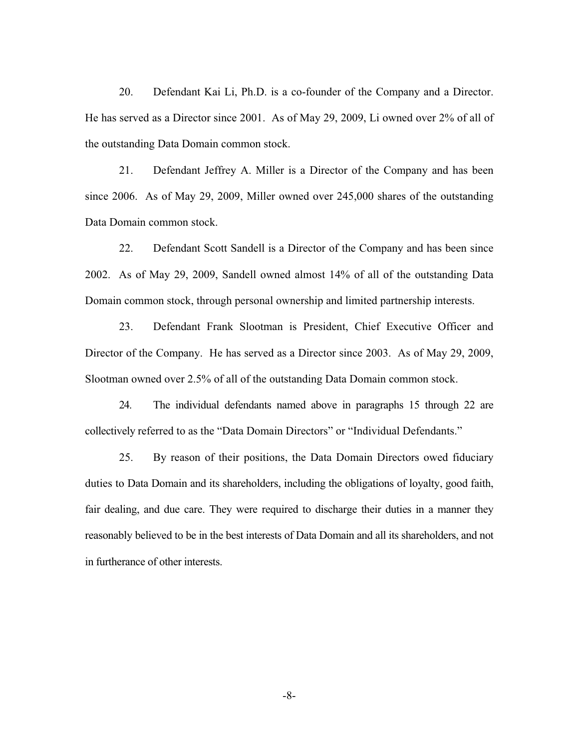20. Defendant Kai Li, Ph.D. is a co-founder of the Company and a Director. He has served as a Director since 2001. As of May 29, 2009, Li owned over 2% of all of the outstanding Data Domain common stock.

21. Defendant Jeffrey A. Miller is a Director of the Company and has been since 2006. As of May 29, 2009, Miller owned over 245,000 shares of the outstanding Data Domain common stock.

22. Defendant Scott Sandell is a Director of the Company and has been since 2002. As of May 29, 2009, Sandell owned almost 14% of all of the outstanding Data Domain common stock, through personal ownership and limited partnership interests.

23. Defendant Frank Slootman is President, Chief Executive Officer and Director of the Company. He has served as a Director since 2003. As of May 29, 2009, Slootman owned over 2.5% of all of the outstanding Data Domain common stock.

24. The individual defendants named above in paragraphs 15 through 22 are collectively referred to as the "Data Domain Directors" or "Individual Defendants."

25. By reason of their positions, the Data Domain Directors owed fiduciary duties to Data Domain and its shareholders, including the obligations of loyalty, good faith, fair dealing, and due care. They were required to discharge their duties in a manner they reasonably believed to be in the best interests of Data Domain and all its shareholders, and not in furtherance of other interests.

-8-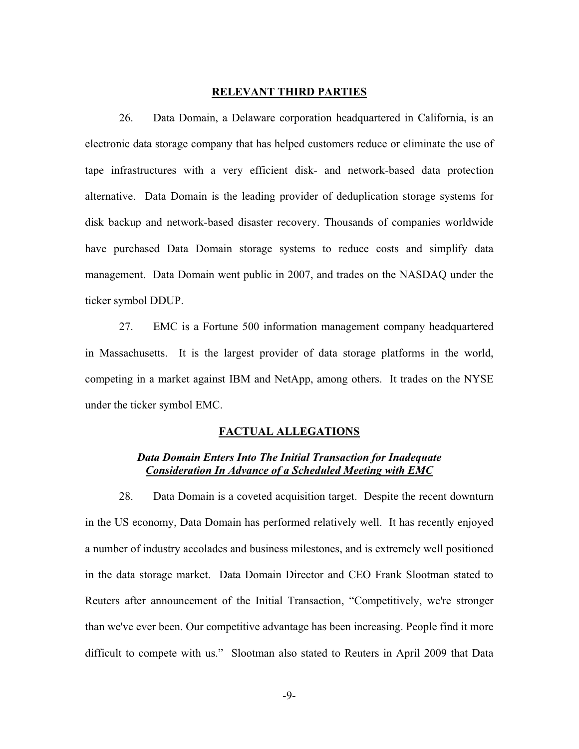#### **RELEVANT THIRD PARTIES**

26. Data Domain, a Delaware corporation headquartered in California, is an electronic data storage company that has helped customers reduce or eliminate the use of tape infrastructures with a very efficient disk- and network-based data protection alternative. Data Domain is the leading provider of deduplication storage systems for disk backup and network-based disaster recovery. Thousands of companies worldwide have purchased Data Domain storage systems to reduce costs and simplify data management. Data Domain went public in 2007, and trades on the NASDAQ under the ticker symbol DDUP.

27. EMC is a Fortune 500 information management company headquartered in Massachusetts. It is the largest provider of data storage platforms in the world, competing in a market against IBM and NetApp, among others. It trades on the NYSE under the ticker symbol EMC.

# **FACTUAL ALLEGATIONS**

# *Data Domain Enters Into The Initial Transaction for Inadequate Consideration In Advance of a Scheduled Meeting with EMC*

28. Data Domain is a coveted acquisition target. Despite the recent downturn in the US economy, Data Domain has performed relatively well. It has recently enjoyed a number of industry accolades and business milestones, and is extremely well positioned in the data storage market. Data Domain Director and CEO Frank Slootman stated to Reuters after announcement of the Initial Transaction, "Competitively, we're stronger than we've ever been. Our competitive advantage has been increasing. People find it more difficult to compete with us." Slootman also stated to Reuters in April 2009 that Data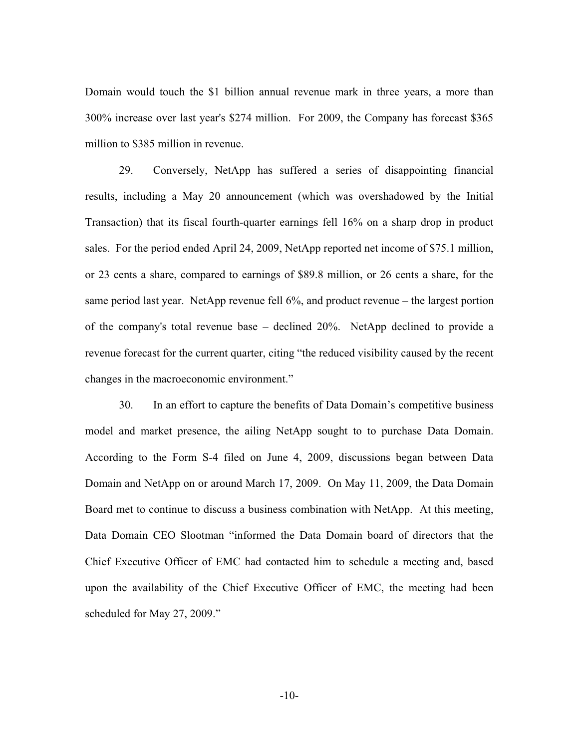Domain would touch the \$1 billion annual revenue mark in three years, a more than 300% increase over last year's \$274 million. For 2009, the Company has forecast \$365 million to \$385 million in revenue.

29. Conversely, NetApp has suffered a series of disappointing financial results, including a May 20 announcement (which was overshadowed by the Initial Transaction) that its fiscal fourth-quarter earnings fell 16% on a sharp drop in product sales. For the period ended April 24, 2009, NetApp reported net income of \$75.1 million, or 23 cents a share, compared to earnings of \$89.8 million, or 26 cents a share, for the same period last year. NetApp revenue fell 6%, and product revenue – the largest portion of the company's total revenue base – declined 20%. NetApp declined to provide a revenue forecast for the current quarter, citing "the reduced visibility caused by the recent changes in the macroeconomic environment."

30. In an effort to capture the benefits of Data Domain's competitive business model and market presence, the ailing NetApp sought to to purchase Data Domain. According to the Form S-4 filed on June 4, 2009, discussions began between Data Domain and NetApp on or around March 17, 2009. On May 11, 2009, the Data Domain Board met to continue to discuss a business combination with NetApp. At this meeting, Data Domain CEO Slootman "informed the Data Domain board of directors that the Chief Executive Officer of EMC had contacted him to schedule a meeting and, based upon the availability of the Chief Executive Officer of EMC, the meeting had been scheduled for May 27, 2009."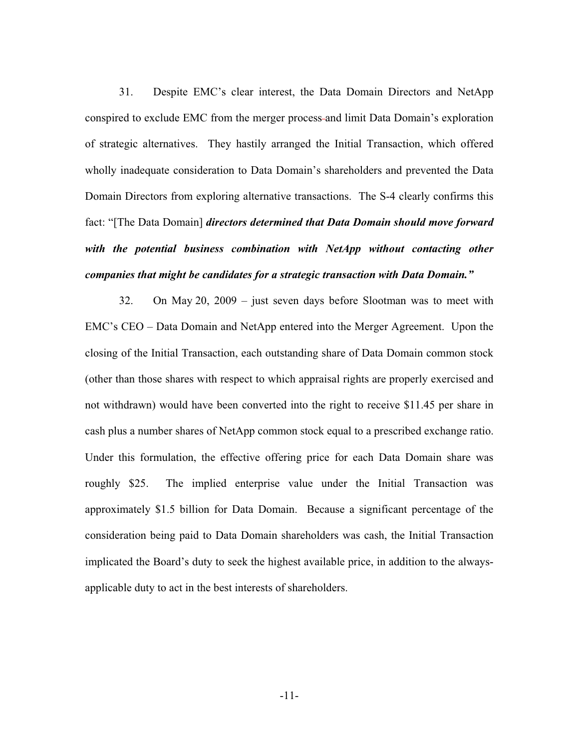31. Despite EMC's clear interest, the Data Domain Directors and NetApp conspired to exclude EMC from the merger process and limit Data Domain's exploration of strategic alternatives. They hastily arranged the Initial Transaction, which offered wholly inadequate consideration to Data Domain's shareholders and prevented the Data Domain Directors from exploring alternative transactions. The S-4 clearly confirms this fact: "[The Data Domain] *directors determined that Data Domain should move forward with the potential business combination with NetApp without contacting other companies that might be candidates for a strategic transaction with Data Domain."*

32. On May 20, 2009 – just seven days before Slootman was to meet with EMC's CEO – Data Domain and NetApp entered into the Merger Agreement. Upon the closing of the Initial Transaction, each outstanding share of Data Domain common stock (other than those shares with respect to which appraisal rights are properly exercised and not withdrawn) would have been converted into the right to receive \$11.45 per share in cash plus a number shares of NetApp common stock equal to a prescribed exchange ratio. Under this formulation, the effective offering price for each Data Domain share was roughly \$25. The implied enterprise value under the Initial Transaction was approximately \$1.5 billion for Data Domain. Because a significant percentage of the consideration being paid to Data Domain shareholders was cash, the Initial Transaction implicated the Board's duty to seek the highest available price, in addition to the alwaysapplicable duty to act in the best interests of shareholders.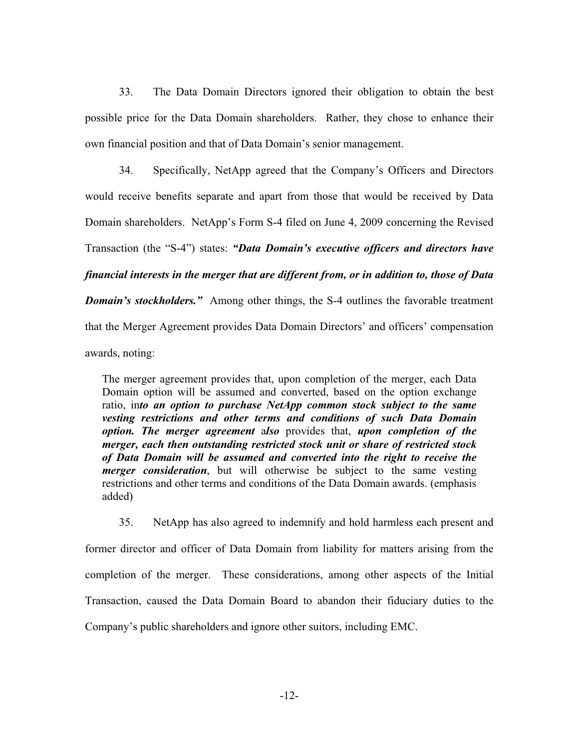33. The Data Domain Directors ignored their obligation to obtain the best possible price for the Data Domain shareholders. Rather, they chose to enhance their own financial position and that of Data Domain's senior management.

34. Specifically, NetApp agreed that the Company's Officers and Directors would receive benefits separate and apart from those that would be received by Data Domain shareholders. NetApp's Form S-4 filed on June 4, 2009 concerning the Revised Transaction (the "S-4") states: *"Data Domain's executive officers and directors have financial interests in the merger that are different from, or in addition to, those of Data Domain's stockholders.* Among other things, the S-4 outlines the favorable treatment that the Merger Agreement provides Data Domain Directors' and officers' compensation awards, noting:

The merger agreement provides that, upon completion of the merger, each Data Domain option will be assumed and converted, based on the option exchange ratio, in*to an option to purchase NetApp common stock subject to the same vesting restrictions and other terms and conditions of such Data Domain option. The merger agreement* a*lso* provides that, *upon completion of the merger, each then outstanding restricted stock unit or share of restricted stock of Data Domain will be assumed and converted into the right to receive the merger consideration*, but will otherwise be subject to the same vesting restrictions and other terms and conditions of the Data Domain awards. (emphasis added)

35. NetApp has also agreed to indemnify and hold harmless each present and former director and officer of Data Domain from liability for matters arising from the completion of the merger. These considerations, among other aspects of the Initial Transaction, caused the Data Domain Board to abandon their fiduciary duties to the Company's public shareholders and ignore other suitors, including EMC.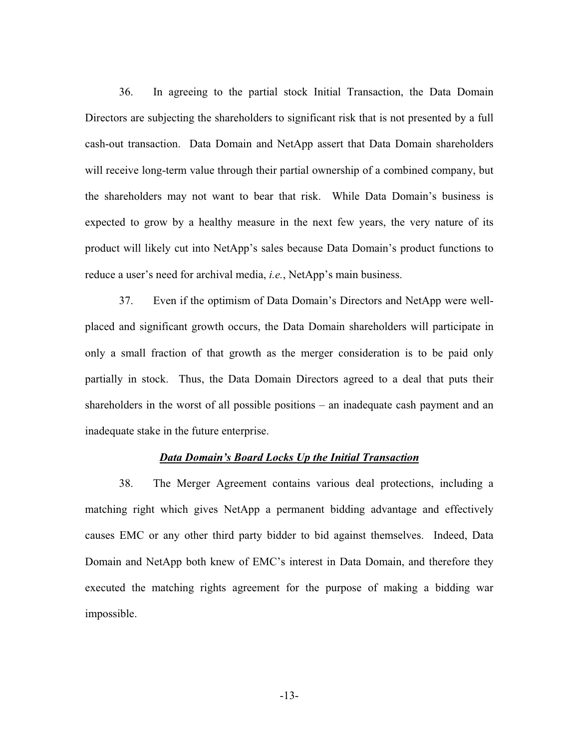36. In agreeing to the partial stock Initial Transaction, the Data Domain Directors are subjecting the shareholders to significant risk that is not presented by a full cash-out transaction. Data Domain and NetApp assert that Data Domain shareholders will receive long-term value through their partial ownership of a combined company, but the shareholders may not want to bear that risk. While Data Domain's business is expected to grow by a healthy measure in the next few years, the very nature of its product will likely cut into NetApp's sales because Data Domain's product functions to reduce a user's need for archival media, *i.e.*, NetApp's main business.

37. Even if the optimism of Data Domain's Directors and NetApp were wellplaced and significant growth occurs, the Data Domain shareholders will participate in only a small fraction of that growth as the merger consideration is to be paid only partially in stock. Thus, the Data Domain Directors agreed to a deal that puts their shareholders in the worst of all possible positions – an inadequate cash payment and an inadequate stake in the future enterprise.

# *Data Domain's Board Locks Up the Initial Transaction*

38. The Merger Agreement contains various deal protections, including a matching right which gives NetApp a permanent bidding advantage and effectively causes EMC or any other third party bidder to bid against themselves. Indeed, Data Domain and NetApp both knew of EMC's interest in Data Domain, and therefore they executed the matching rights agreement for the purpose of making a bidding war impossible.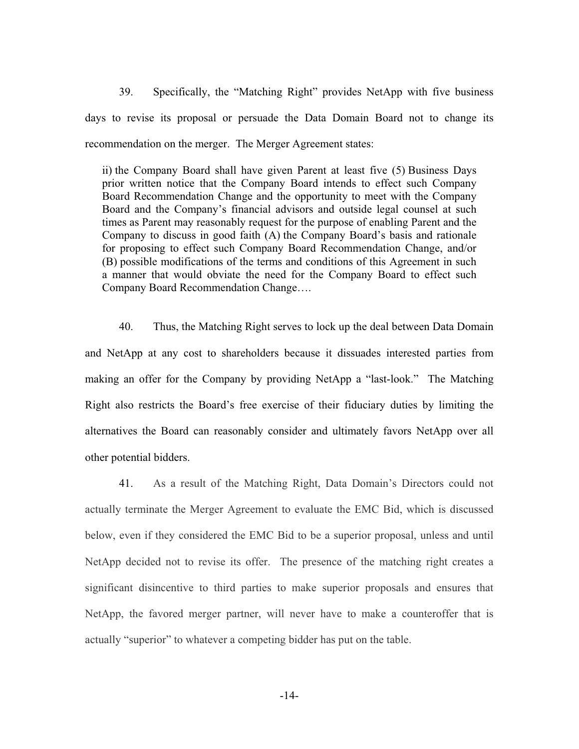39. Specifically, the "Matching Right" provides NetApp with five business days to revise its proposal or persuade the Data Domain Board not to change its recommendation on the merger. The Merger Agreement states:

ii) the Company Board shall have given Parent at least five (5) Business Days prior written notice that the Company Board intends to effect such Company Board Recommendation Change and the opportunity to meet with the Company Board and the Company's financial advisors and outside legal counsel at such times as Parent may reasonably request for the purpose of enabling Parent and the Company to discuss in good faith (A) the Company Board's basis and rationale for proposing to effect such Company Board Recommendation Change, and/or (B) possible modifications of the terms and conditions of this Agreement in such a manner that would obviate the need for the Company Board to effect such Company Board Recommendation Change….

40. Thus, the Matching Right serves to lock up the deal between Data Domain and NetApp at any cost to shareholders because it dissuades interested parties from making an offer for the Company by providing NetApp a "last-look." The Matching Right also restricts the Board's free exercise of their fiduciary duties by limiting the alternatives the Board can reasonably consider and ultimately favors NetApp over all other potential bidders.

41. As a result of the Matching Right, Data Domain's Directors could not actually terminate the Merger Agreement to evaluate the EMC Bid, which is discussed below, even if they considered the EMC Bid to be a superior proposal, unless and until NetApp decided not to revise its offer. The presence of the matching right creates a significant disincentive to third parties to make superior proposals and ensures that NetApp, the favored merger partner, will never have to make a counteroffer that is actually "superior" to whatever a competing bidder has put on the table.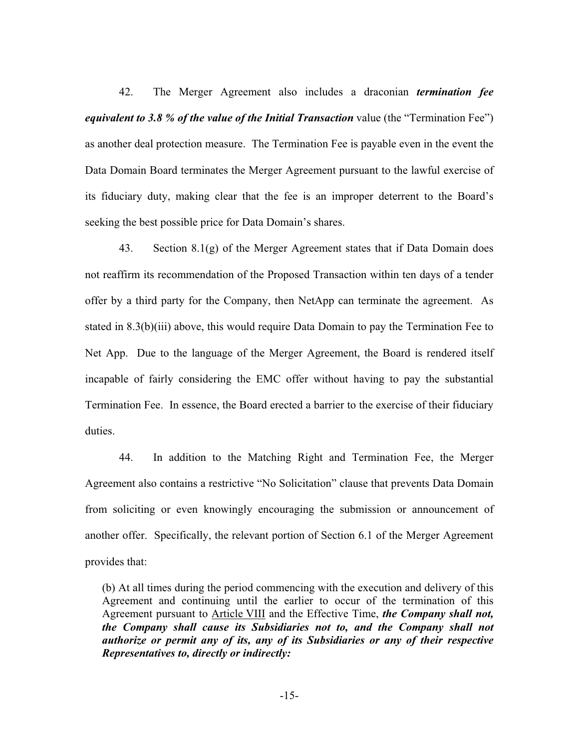42. The Merger Agreement also includes a draconian *termination fee equivalent to 3.8 % of the value of the Initial Transaction* value (the "Termination Fee") as another deal protection measure. The Termination Fee is payable even in the event the Data Domain Board terminates the Merger Agreement pursuant to the lawful exercise of its fiduciary duty, making clear that the fee is an improper deterrent to the Board's seeking the best possible price for Data Domain's shares.

43. Section 8.1(g) of the Merger Agreement states that if Data Domain does not reaffirm its recommendation of the Proposed Transaction within ten days of a tender offer by a third party for the Company, then NetApp can terminate the agreement. As stated in 8.3(b)(iii) above, this would require Data Domain to pay the Termination Fee to Net App. Due to the language of the Merger Agreement, the Board is rendered itself incapable of fairly considering the EMC offer without having to pay the substantial Termination Fee. In essence, the Board erected a barrier to the exercise of their fiduciary duties.

44. In addition to the Matching Right and Termination Fee, the Merger Agreement also contains a restrictive "No Solicitation" clause that prevents Data Domain from soliciting or even knowingly encouraging the submission or announcement of another offer. Specifically, the relevant portion of Section 6.1 of the Merger Agreement provides that:

(b) At all times during the period commencing with the execution and delivery of this Agreement and continuing until the earlier to occur of the termination of this Agreement pursuant to Article VIII and the Effective Time, *the Company shall not, the Company shall cause its Subsidiaries not to, and the Company shall not authorize or permit any of its, any of its Subsidiaries or any of their respective Representatives to, directly or indirectly:*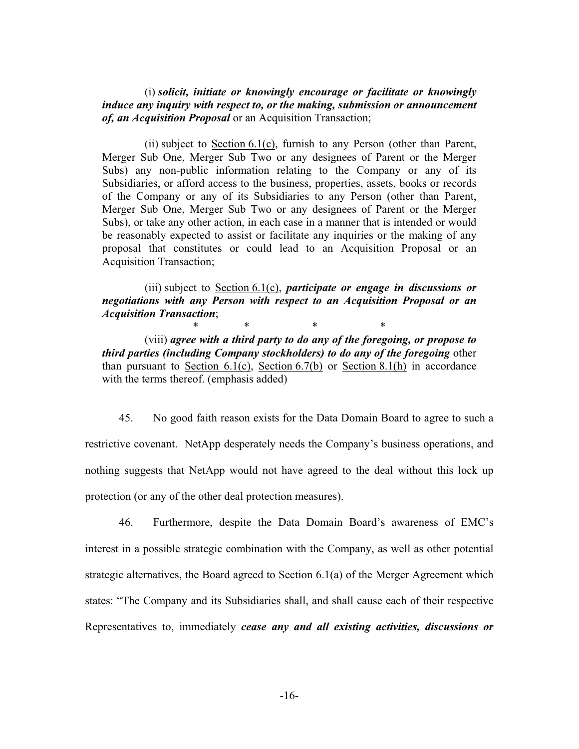(i) *solicit, initiate or knowingly encourage or facilitate or knowingly induce any inquiry with respect to, or the making, submission or announcement of, an Acquisition Proposal* or an Acquisition Transaction;

(ii) subject to Section  $6.1(c)$ , furnish to any Person (other than Parent, Merger Sub One, Merger Sub Two or any designees of Parent or the Merger Subs) any non-public information relating to the Company or any of its Subsidiaries, or afford access to the business, properties, assets, books or records of the Company or any of its Subsidiaries to any Person (other than Parent, Merger Sub One, Merger Sub Two or any designees of Parent or the Merger Subs), or take any other action, in each case in a manner that is intended or would be reasonably expected to assist or facilitate any inquiries or the making of any proposal that constitutes or could lead to an Acquisition Proposal or an Acquisition Transaction;

 (iii) subject to Section 6.1(c), *participate or engage in discussions or negotiations with any Person with respect to an Acquisition Proposal or an Acquisition Transaction*; \* \* \* \*

 (viii) *agree with a third party to do any of the foregoing, or propose to third parties (including Company stockholders) to do any of the foregoing* other than pursuant to Section  $6.1(c)$ , Section  $6.7(b)$  or Section  $8.1(h)$  in accordance with the terms thereof. (emphasis added)

45. No good faith reason exists for the Data Domain Board to agree to such a restrictive covenant. NetApp desperately needs the Company's business operations, and nothing suggests that NetApp would not have agreed to the deal without this lock up protection (or any of the other deal protection measures).

46. Furthermore, despite the Data Domain Board's awareness of EMC's interest in a possible strategic combination with the Company, as well as other potential strategic alternatives, the Board agreed to Section 6.1(a) of the Merger Agreement which states: "The Company and its Subsidiaries shall, and shall cause each of their respective Representatives to, immediately *cease any and all existing activities, discussions or*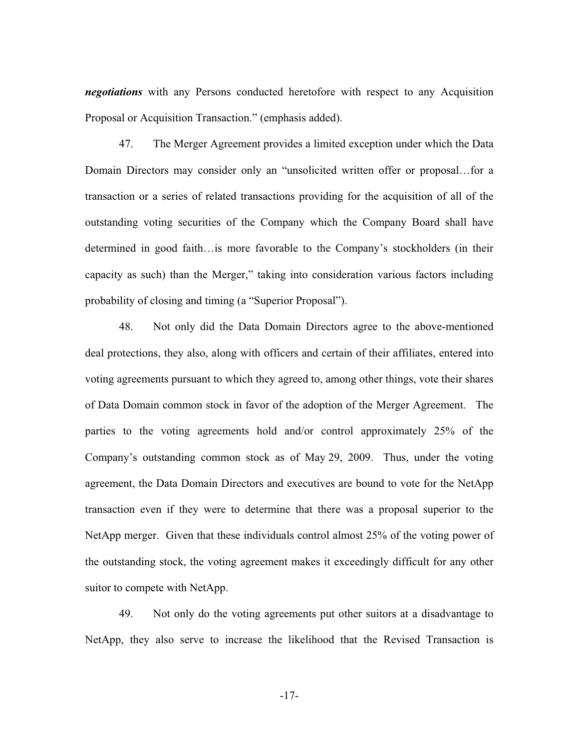*negotiations* with any Persons conducted heretofore with respect to any Acquisition Proposal or Acquisition Transaction." (emphasis added).

47. The Merger Agreement provides a limited exception under which the Data Domain Directors may consider only an "unsolicited written offer or proposal…for a transaction or a series of related transactions providing for the acquisition of all of the outstanding voting securities of the Company which the Company Board shall have determined in good faith…is more favorable to the Company's stockholders (in their capacity as such) than the Merger," taking into consideration various factors including probability of closing and timing (a "Superior Proposal").

48. Not only did the Data Domain Directors agree to the above-mentioned deal protections, they also, along with officers and certain of their affiliates, entered into voting agreements pursuant to which they agreed to, among other things, vote their shares of Data Domain common stock in favor of the adoption of the Merger Agreement. The parties to the voting agreements hold and/or control approximately 25% of the Company's outstanding common stock as of May 29, 2009. Thus, under the voting agreement, the Data Domain Directors and executives are bound to vote for the NetApp transaction even if they were to determine that there was a proposal superior to the NetApp merger. Given that these individuals control almost 25% of the voting power of the outstanding stock, the voting agreement makes it exceedingly difficult for any other suitor to compete with NetApp.

49. Not only do the voting agreements put other suitors at a disadvantage to NetApp, they also serve to increase the likelihood that the Revised Transaction is

-17-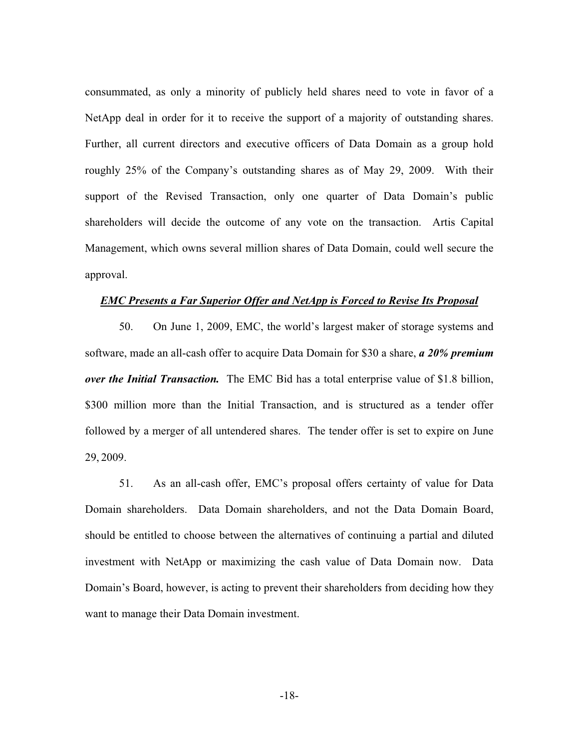consummated, as only a minority of publicly held shares need to vote in favor of a NetApp deal in order for it to receive the support of a majority of outstanding shares. Further, all current directors and executive officers of Data Domain as a group hold roughly 25% of the Company's outstanding shares as of May 29, 2009. With their support of the Revised Transaction, only one quarter of Data Domain's public shareholders will decide the outcome of any vote on the transaction. Artis Capital Management, which owns several million shares of Data Domain, could well secure the approval.

#### *EMC Presents a Far Superior Offer and NetApp is Forced to Revise Its Proposal*

50. On June 1, 2009, EMC, the world's largest maker of storage systems and software, made an all-cash offer to acquire Data Domain for \$30 a share, *a 20% premium over the Initial Transaction.* The EMC Bid has a total enterprise value of \$1.8 billion, \$300 million more than the Initial Transaction, and is structured as a tender offer followed by a merger of all untendered shares. The tender offer is set to expire on June 29, 2009.

51. As an all-cash offer, EMC's proposal offers certainty of value for Data Domain shareholders. Data Domain shareholders, and not the Data Domain Board, should be entitled to choose between the alternatives of continuing a partial and diluted investment with NetApp or maximizing the cash value of Data Domain now. Data Domain's Board, however, is acting to prevent their shareholders from deciding how they want to manage their Data Domain investment.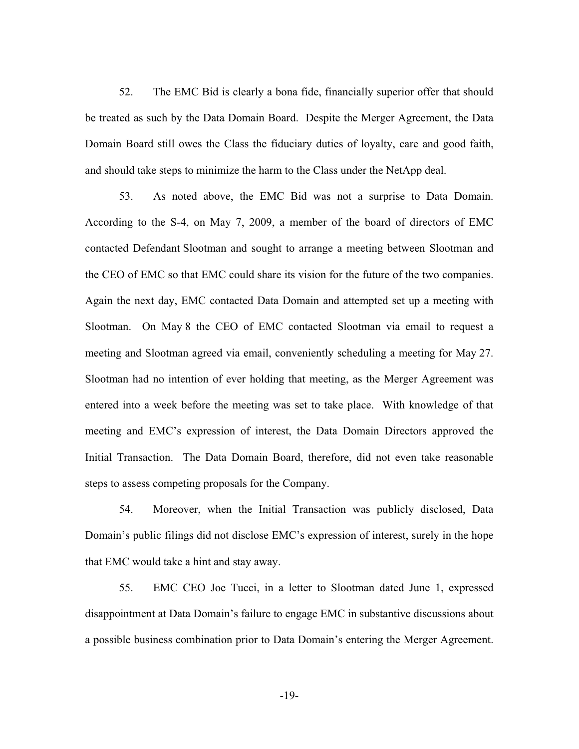52. The EMC Bid is clearly a bona fide, financially superior offer that should be treated as such by the Data Domain Board. Despite the Merger Agreement, the Data Domain Board still owes the Class the fiduciary duties of loyalty, care and good faith, and should take steps to minimize the harm to the Class under the NetApp deal.

53. As noted above, the EMC Bid was not a surprise to Data Domain. According to the S-4, on May 7, 2009, a member of the board of directors of EMC contacted Defendant Slootman and sought to arrange a meeting between Slootman and the CEO of EMC so that EMC could share its vision for the future of the two companies. Again the next day, EMC contacted Data Domain and attempted set up a meeting with Slootman. On May 8 the CEO of EMC contacted Slootman via email to request a meeting and Slootman agreed via email, conveniently scheduling a meeting for May 27. Slootman had no intention of ever holding that meeting, as the Merger Agreement was entered into a week before the meeting was set to take place. With knowledge of that meeting and EMC's expression of interest, the Data Domain Directors approved the Initial Transaction. The Data Domain Board, therefore, did not even take reasonable steps to assess competing proposals for the Company.

54. Moreover, when the Initial Transaction was publicly disclosed, Data Domain's public filings did not disclose EMC's expression of interest, surely in the hope that EMC would take a hint and stay away.

55. EMC CEO Joe Tucci, in a letter to Slootman dated June 1, expressed disappointment at Data Domain's failure to engage EMC in substantive discussions about a possible business combination prior to Data Domain's entering the Merger Agreement.

-19-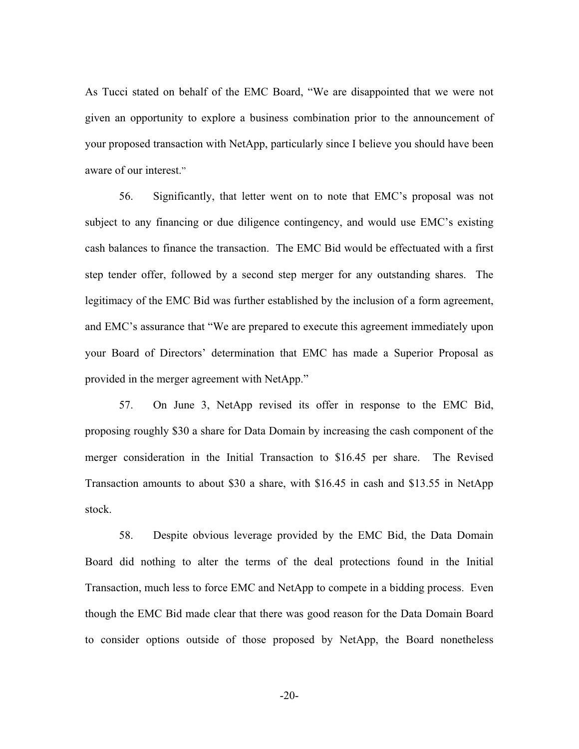As Tucci stated on behalf of the EMC Board, "We are disappointed that we were not given an opportunity to explore a business combination prior to the announcement of your proposed transaction with NetApp, particularly since I believe you should have been aware of our interest."

56. Significantly, that letter went on to note that EMC's proposal was not subject to any financing or due diligence contingency, and would use EMC's existing cash balances to finance the transaction. The EMC Bid would be effectuated with a first step tender offer, followed by a second step merger for any outstanding shares. The legitimacy of the EMC Bid was further established by the inclusion of a form agreement, and EMC's assurance that "We are prepared to execute this agreement immediately upon your Board of Directors' determination that EMC has made a Superior Proposal as provided in the merger agreement with NetApp."

57. On June 3, NetApp revised its offer in response to the EMC Bid, proposing roughly \$30 a share for Data Domain by increasing the cash component of the merger consideration in the Initial Transaction to \$16.45 per share. The Revised Transaction amounts to about \$30 a share, with \$16.45 in cash and \$13.55 in NetApp stock.

58. Despite obvious leverage provided by the EMC Bid, the Data Domain Board did nothing to alter the terms of the deal protections found in the Initial Transaction, much less to force EMC and NetApp to compete in a bidding process. Even though the EMC Bid made clear that there was good reason for the Data Domain Board to consider options outside of those proposed by NetApp, the Board nonetheless

-20-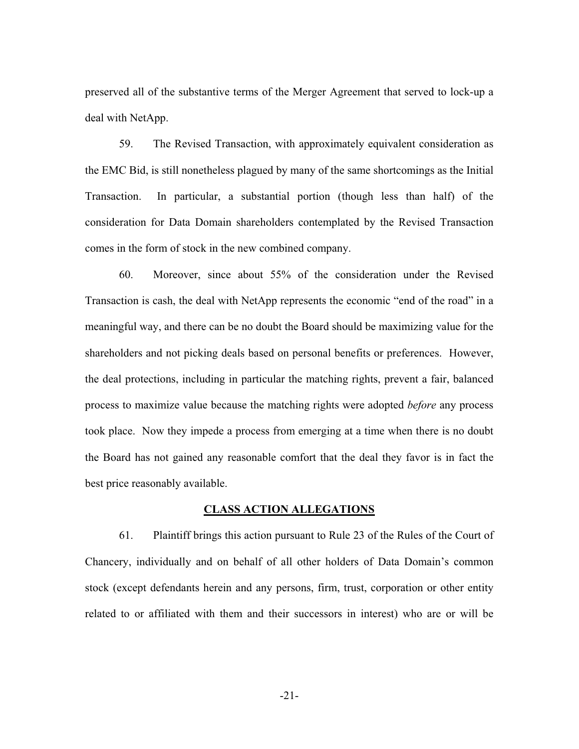preserved all of the substantive terms of the Merger Agreement that served to lock-up a deal with NetApp.

59. The Revised Transaction, with approximately equivalent consideration as the EMC Bid, is still nonetheless plagued by many of the same shortcomings as the Initial Transaction. In particular, a substantial portion (though less than half) of the consideration for Data Domain shareholders contemplated by the Revised Transaction comes in the form of stock in the new combined company.

60. Moreover, since about 55% of the consideration under the Revised Transaction is cash, the deal with NetApp represents the economic "end of the road" in a meaningful way, and there can be no doubt the Board should be maximizing value for the shareholders and not picking deals based on personal benefits or preferences. However, the deal protections, including in particular the matching rights, prevent a fair, balanced process to maximize value because the matching rights were adopted *before* any process took place. Now they impede a process from emerging at a time when there is no doubt the Board has not gained any reasonable comfort that the deal they favor is in fact the best price reasonably available.

# **CLASS ACTION ALLEGATIONS**

61. Plaintiff brings this action pursuant to Rule 23 of the Rules of the Court of Chancery, individually and on behalf of all other holders of Data Domain's common stock (except defendants herein and any persons, firm, trust, corporation or other entity related to or affiliated with them and their successors in interest) who are or will be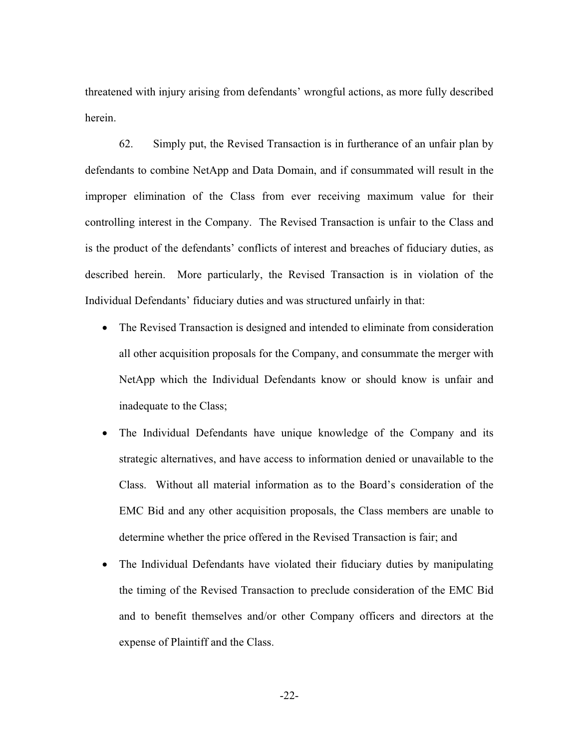threatened with injury arising from defendants' wrongful actions, as more fully described herein.

62. Simply put, the Revised Transaction is in furtherance of an unfair plan by defendants to combine NetApp and Data Domain, and if consummated will result in the improper elimination of the Class from ever receiving maximum value for their controlling interest in the Company. The Revised Transaction is unfair to the Class and is the product of the defendants' conflicts of interest and breaches of fiduciary duties, as described herein. More particularly, the Revised Transaction is in violation of the Individual Defendants' fiduciary duties and was structured unfairly in that:

- The Revised Transaction is designed and intended to eliminate from consideration all other acquisition proposals for the Company, and consummate the merger with NetApp which the Individual Defendants know or should know is unfair and inadequate to the Class;
- The Individual Defendants have unique knowledge of the Company and its strategic alternatives, and have access to information denied or unavailable to the Class. Without all material information as to the Board's consideration of the EMC Bid and any other acquisition proposals, the Class members are unable to determine whether the price offered in the Revised Transaction is fair; and
- The Individual Defendants have violated their fiduciary duties by manipulating the timing of the Revised Transaction to preclude consideration of the EMC Bid and to benefit themselves and/or other Company officers and directors at the expense of Plaintiff and the Class.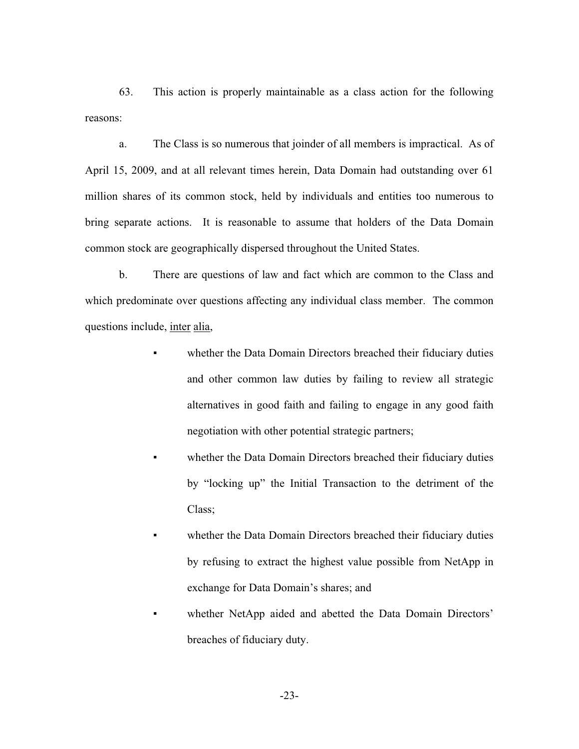63. This action is properly maintainable as a class action for the following reasons:

a. The Class is so numerous that joinder of all members is impractical. As of April 15, 2009, and at all relevant times herein, Data Domain had outstanding over 61 million shares of its common stock, held by individuals and entities too numerous to bring separate actions. It is reasonable to assume that holders of the Data Domain common stock are geographically dispersed throughout the United States.

b. There are questions of law and fact which are common to the Class and which predominate over questions affecting any individual class member. The common questions include, inter alia,

- whether the Data Domain Directors breached their fiduciary duties and other common law duties by failing to review all strategic alternatives in good faith and failing to engage in any good faith negotiation with other potential strategic partners;
- **•** whether the Data Domain Directors breached their fiduciary duties by "locking up" the Initial Transaction to the detriment of the Class;
- whether the Data Domain Directors breached their fiduciary duties by refusing to extract the highest value possible from NetApp in exchange for Data Domain's shares; and
- whether NetApp aided and abetted the Data Domain Directors' breaches of fiduciary duty.

-23-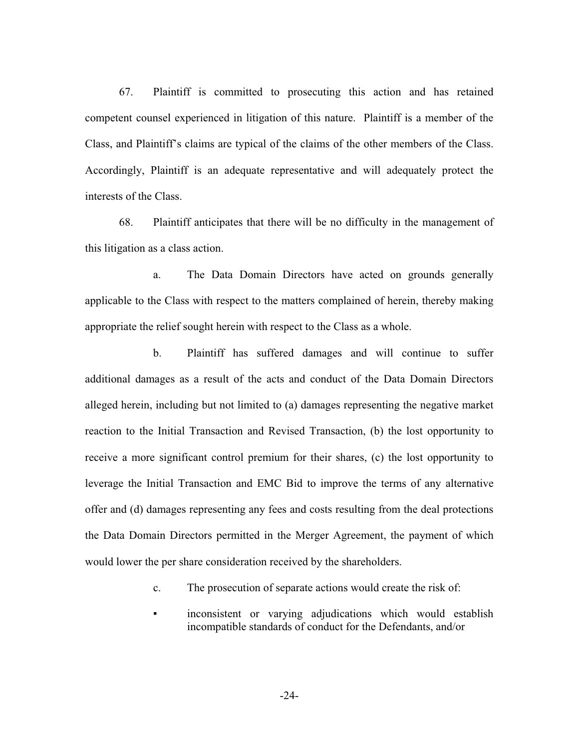67. Plaintiff is committed to prosecuting this action and has retained competent counsel experienced in litigation of this nature. Plaintiff is a member of the Class, and Plaintiff's claims are typical of the claims of the other members of the Class. Accordingly, Plaintiff is an adequate representative and will adequately protect the interests of the Class.

68. Plaintiff anticipates that there will be no difficulty in the management of this litigation as a class action.

a. The Data Domain Directors have acted on grounds generally applicable to the Class with respect to the matters complained of herein, thereby making appropriate the relief sought herein with respect to the Class as a whole.

b. Plaintiff has suffered damages and will continue to suffer additional damages as a result of the acts and conduct of the Data Domain Directors alleged herein, including but not limited to (a) damages representing the negative market reaction to the Initial Transaction and Revised Transaction, (b) the lost opportunity to receive a more significant control premium for their shares, (c) the lost opportunity to leverage the Initial Transaction and EMC Bid to improve the terms of any alternative offer and (d) damages representing any fees and costs resulting from the deal protections the Data Domain Directors permitted in the Merger Agreement, the payment of which would lower the per share consideration received by the shareholders.

- c. The prosecution of separate actions would create the risk of:
- inconsistent or varying adjudications which would establish incompatible standards of conduct for the Defendants, and/or

-24-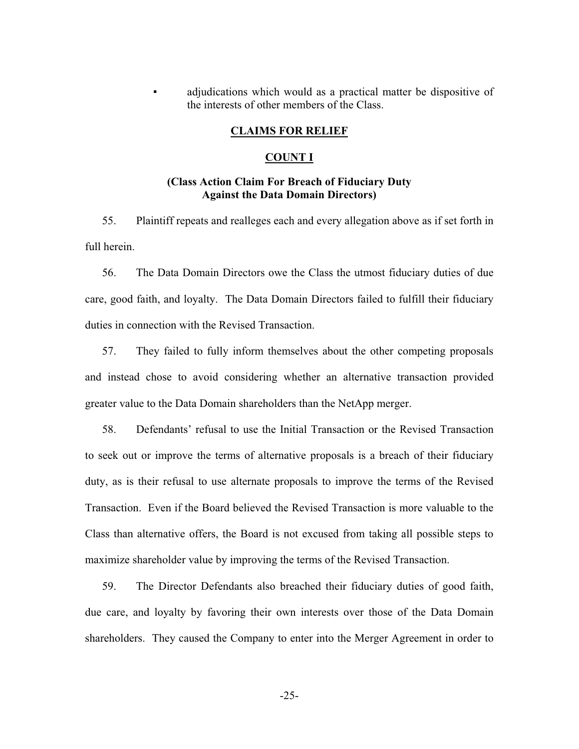ƒ adjudications which would as a practical matter be dispositive of the interests of other members of the Class.

# **CLAIMS FOR RELIEF**

## **COUNT I**

# **(Class Action Claim For Breach of Fiduciary Duty Against the Data Domain Directors)**

55. Plaintiff repeats and realleges each and every allegation above as if set forth in full herein.

56. The Data Domain Directors owe the Class the utmost fiduciary duties of due care, good faith, and loyalty. The Data Domain Directors failed to fulfill their fiduciary duties in connection with the Revised Transaction.

57. They failed to fully inform themselves about the other competing proposals and instead chose to avoid considering whether an alternative transaction provided greater value to the Data Domain shareholders than the NetApp merger.

58. Defendants' refusal to use the Initial Transaction or the Revised Transaction to seek out or improve the terms of alternative proposals is a breach of their fiduciary duty, as is their refusal to use alternate proposals to improve the terms of the Revised Transaction. Even if the Board believed the Revised Transaction is more valuable to the Class than alternative offers, the Board is not excused from taking all possible steps to maximize shareholder value by improving the terms of the Revised Transaction.

59. The Director Defendants also breached their fiduciary duties of good faith, due care, and loyalty by favoring their own interests over those of the Data Domain shareholders. They caused the Company to enter into the Merger Agreement in order to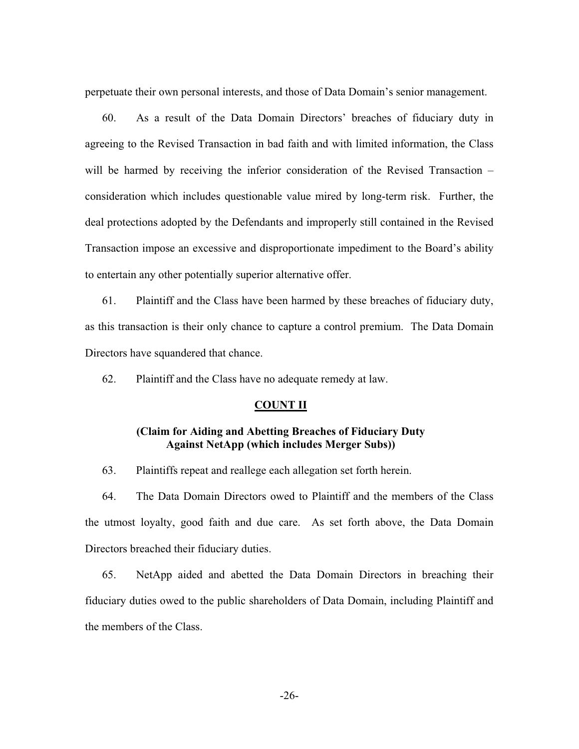perpetuate their own personal interests, and those of Data Domain's senior management.

60. As a result of the Data Domain Directors' breaches of fiduciary duty in agreeing to the Revised Transaction in bad faith and with limited information, the Class will be harmed by receiving the inferior consideration of the Revised Transaction – consideration which includes questionable value mired by long-term risk. Further, the deal protections adopted by the Defendants and improperly still contained in the Revised Transaction impose an excessive and disproportionate impediment to the Board's ability to entertain any other potentially superior alternative offer.

61. Plaintiff and the Class have been harmed by these breaches of fiduciary duty, as this transaction is their only chance to capture a control premium. The Data Domain Directors have squandered that chance.

62. Plaintiff and the Class have no adequate remedy at law.

# **COUNT II**

# **(Claim for Aiding and Abetting Breaches of Fiduciary Duty Against NetApp (which includes Merger Subs))**

63. Plaintiffs repeat and reallege each allegation set forth herein.

64. The Data Domain Directors owed to Plaintiff and the members of the Class the utmost loyalty, good faith and due care. As set forth above, the Data Domain Directors breached their fiduciary duties.

65. NetApp aided and abetted the Data Domain Directors in breaching their fiduciary duties owed to the public shareholders of Data Domain, including Plaintiff and the members of the Class.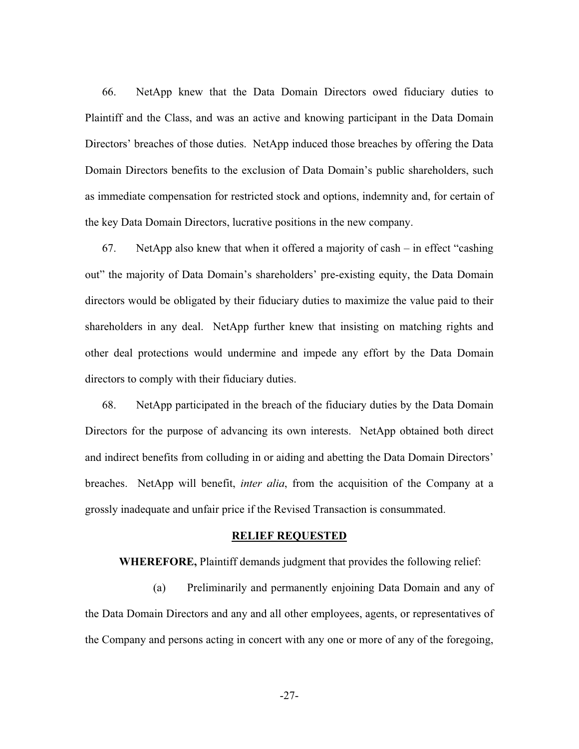66. NetApp knew that the Data Domain Directors owed fiduciary duties to Plaintiff and the Class, and was an active and knowing participant in the Data Domain Directors' breaches of those duties. NetApp induced those breaches by offering the Data Domain Directors benefits to the exclusion of Data Domain's public shareholders, such as immediate compensation for restricted stock and options, indemnity and, for certain of the key Data Domain Directors, lucrative positions in the new company.

67. NetApp also knew that when it offered a majority of cash – in effect "cashing" out" the majority of Data Domain's shareholders' pre-existing equity, the Data Domain directors would be obligated by their fiduciary duties to maximize the value paid to their shareholders in any deal. NetApp further knew that insisting on matching rights and other deal protections would undermine and impede any effort by the Data Domain directors to comply with their fiduciary duties.

68. NetApp participated in the breach of the fiduciary duties by the Data Domain Directors for the purpose of advancing its own interests. NetApp obtained both direct and indirect benefits from colluding in or aiding and abetting the Data Domain Directors' breaches. NetApp will benefit, *inter alia*, from the acquisition of the Company at a grossly inadequate and unfair price if the Revised Transaction is consummated.

## **RELIEF REQUESTED**

**WHEREFORE,** Plaintiff demands judgment that provides the following relief:

(a) Preliminarily and permanently enjoining Data Domain and any of the Data Domain Directors and any and all other employees, agents, or representatives of the Company and persons acting in concert with any one or more of any of the foregoing,

-27-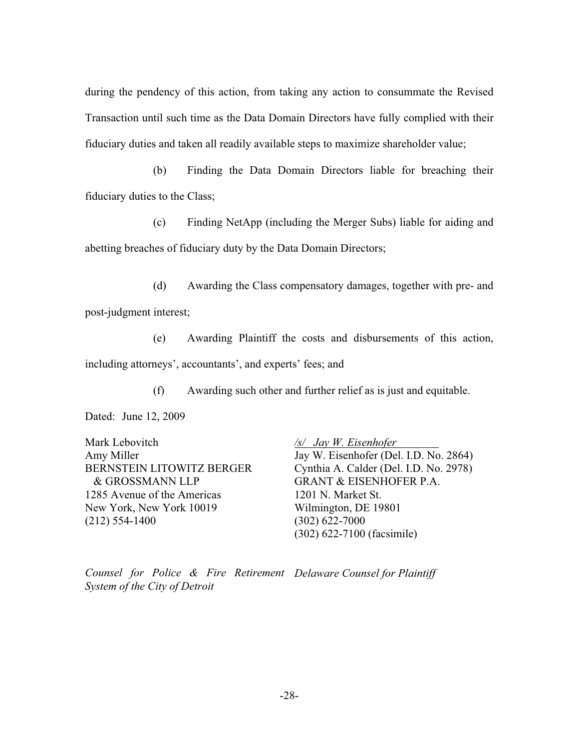during the pendency of this action, from taking any action to consummate the Revised Transaction until such time as the Data Domain Directors have fully complied with their fiduciary duties and taken all readily available steps to maximize shareholder value;

(b) Finding the Data Domain Directors liable for breaching their fiduciary duties to the Class;

(c) Finding NetApp (including the Merger Subs) liable for aiding and abetting breaches of fiduciary duty by the Data Domain Directors;

(d) Awarding the Class compensatory damages, together with pre- and post-judgment interest;

(e) Awarding Plaintiff the costs and disbursements of this action, including attorneys', accountants', and experts' fees; and

(f) Awarding such other and further relief as is just and equitable.

Dated: June 12, 2009

Mark Lebovitch Amy Miller BERNSTEIN LITOWITZ BERGER & GROSSMANN LLP 1285 Avenue of the Americas New York, New York 10019 (212) 554-1400

*/s/ Jay W. Eisenhofer* Jay W. Eisenhofer (Del. I.D. No. 2864) Cynthia A. Calder (Del. I.D. No. 2978) GRANT & EISENHOFER P.A. 1201 N. Market St. Wilmington, DE 19801 (302) 622-7000 (302) 622-7100 (facsimile)

*Counsel for Police & Fire Retirement Delaware Counsel for Plaintiff System of the City of Detroit*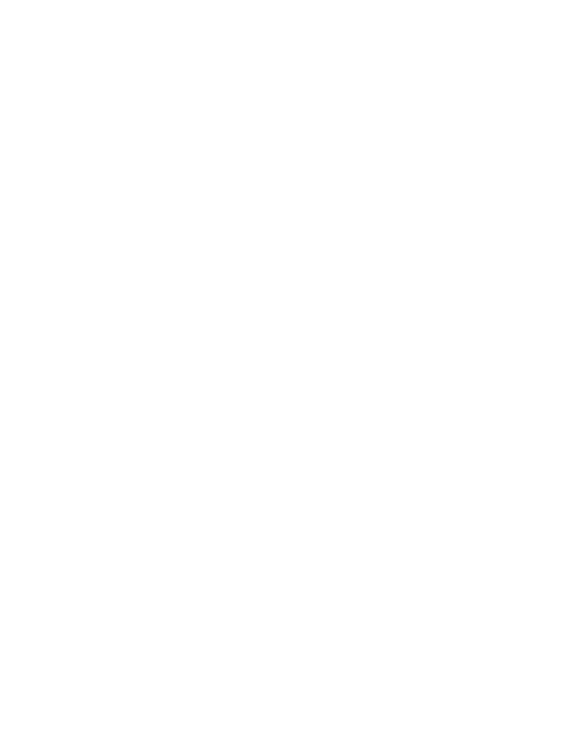## IN THE COURT OF CHANCERY OF THE STATE OF DELAWARE

| Data Domain, Inc.,       | POLICE & FIRE RETIREMENT SYSTEM OF<br>THE CITY OF DETROIT, on behalf of itself<br>and all other similarly situated shareholders of |          |
|--------------------------|------------------------------------------------------------------------------------------------------------------------------------|----------|
|                          | Plaintiff,<br>v.                                                                                                                   | C.A. No. |
| and FRANK SLOOTMAN,      | RONALD D. BERNAL, ANEEL BHUSRI,<br>RONALD E.F. CODD, REED E. HUNDT, KAI<br>LI, JEFFREY A. MILLER, SCOTT SANDELL,                   |          |
|                          | Defendants.                                                                                                                        |          |
|                          | VERIFICATION                                                                                                                       |          |
| <b>STATE OF MICHIGAN</b> |                                                                                                                                    |          |
| COUNTY OF WAYNE          | SS.                                                                                                                                |          |

 $\omega$  and one can can be if

 $\pm \epsilon$ 

I, Ronald Zajac, General Counsel for Plaintiff the Police and Fire Retirement System of the City of Detroit ("Detroit P&F"), being duly sworn, depose and say that I am authorized to make this verification on behalf of Detroit P&F, that I have read the foregoing Verified Class Action Complaint, and that the factual statements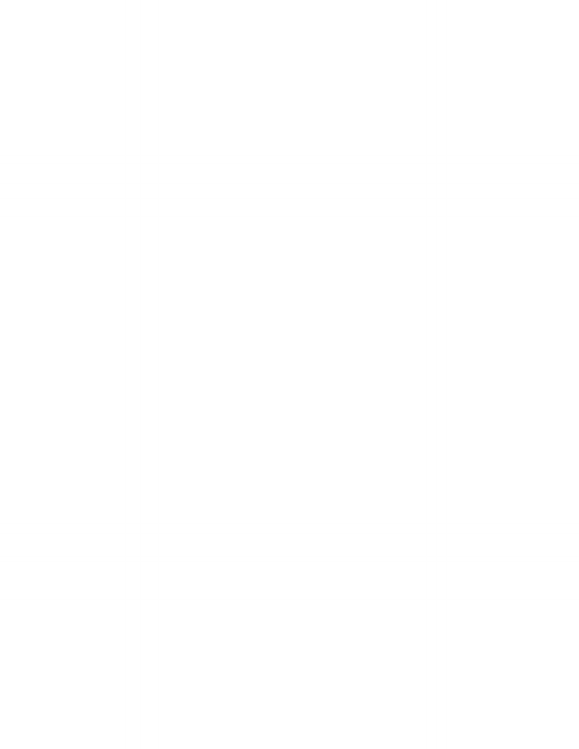contained therein are true to the best of my knowledge, information and belief.

Knald Lojon

Sworn to and subscribed before me this  $L$  day of June, 2009.

Tš Notary Public JOHN REYES<br>NOTARY PUBLIC - MICHIGAN<br>OAKILAND COUNTY<br>ACTING IN THE COUNTY OF LAST ANY COMMISSION EXPIRES OCT. 9, 2013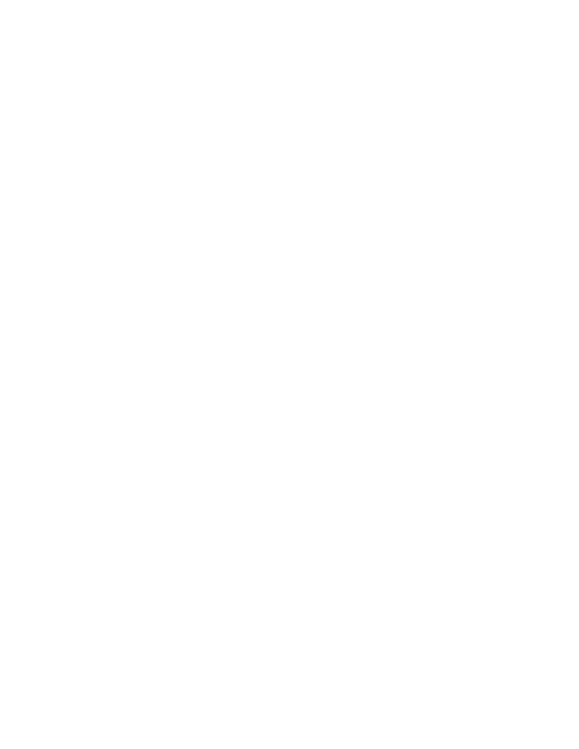# IN THE COURT OF THE CHANCERY OF THE STATE OF DELAWARE

POLICE & FIRE RETIREMENT SYSTEM OF THE CITY OF DETROIT, on behalf of itself and all other similarly situated shareholders of Data Domain, Inc.,

Plaintiff,

 $C.A. No.$ 

v.

RONALD D. BERNAL, ANEEL BHUSRI, RONALD E.F. CODD, REED E. HUNDT, KAI LI, JEFFREY A. MILLER, SCOTT SANDELL, and FRANK SLOOTMAN,

Defendants,

# AFFIDAVIT OF RONALD ZAJAC IN SUPPORT OF VERIFIED CLASS ACTION COMPLAINT OF THE POLICE AND FIRE RETIREMENT SYSTEM OF THE CITY OF DETROIT

STATE OF MICHIGAN  $\mathcal{F}$ ) ss. COUNTY OF WAYNE

Ronald Zajac, being duly sworn, does hereby state as follows:

 $\mathbf{1}$ . My name is Ronald Zajac. I am General Counsel for the Police and Fire

Retirement System of the City of Detroit ("Detroit P&F"), plaintiff in the above-

captioned class action. I am a resident of Michigan, and am of full legal age. My address

is 39436 Village Run, Northville, MI 48168. I make this affidavit in support of the

Verified Class Action Complaint Detroit P&F filed in the above-captioned case.

 $2.$ I make this affidavit under penalty of perjury.